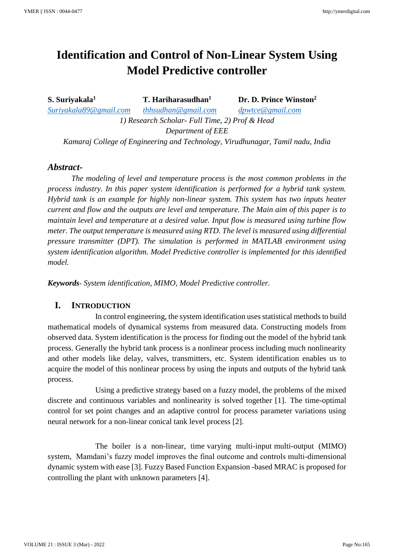# **Identification and Control of Non-Linear System Using Model Predictive controller**

**S. Suriyakala<sup>1</sup> T. Hariharasudhan<sup>1</sup> Dr. D. Prince Winston<sup>2</sup>** *[Suriyakala89@gmail.com](mailto:Suriyakala89@gmail.com) [thhsudhan@gmail.com](mailto:thhsudhan@gmail.com) [dpwtce@gmail.com](mailto:dpwtce@gmail.com) 1) Research Scholar- Full Time, 2) Prof & Head Department of EEE*

*Kamaraj College of Engineering and Technology, Virudhunagar, Tamil nadu, India*

#### *Abstract-*

*The modeling of level and temperature process is the most common problems in the process industry. In this paper system identification is performed for a hybrid tank system. Hybrid tank is an example for highly non-linear system. This system has two inputs heater current and flow and the outputs are level and temperature. The Main aim of this paper is to maintain level and temperature at a desired value. Input flow is measured using turbine flow meter. The output temperature is measured using RTD. The level is measured using differential pressure transmitter (DPT). The simulation is performed in MATLAB environment using system identification algorithm. Model Predictive controller is implemented for this identified model.*

*Keywords- System identification, MIMO, Model Predictive controller.*

# **I. INTRODUCTION**

In control engineering, the system identification uses statistical methods to build mathematical models of dynamical systems from measured data. Constructing models from observed data. System identification is the process for finding out the model of the hybrid tank process. Generally the hybrid tank process is a nonlinear process including much nonlinearity and other models like delay, valves, transmitters, etc. System identification enables us to acquire the model of this nonlinear process by using the inputs and outputs of the hybrid tank process.

Using a predictive strategy based on a fuzzy model, the problems of the mixed discrete and continuous variables and nonlinearity is solved together [1]. The time-optimal control for set point changes and an adaptive control for process parameter variations using neural network for a non-linear conical tank level process [2].

The boiler is a non-linear, time varying multi-input multi-output (MIMO) system, Mamdani's fuzzy model improves the final outcome and controls multi-dimensional dynamic system with ease [3]. Fuzzy Based Function Expansion -based MRAC is proposed for controlling the plant with unknown parameters [4].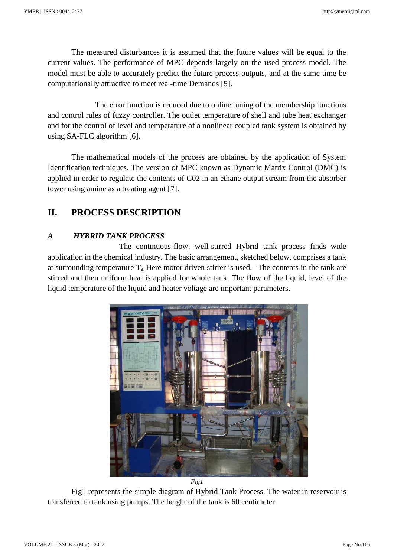The measured disturbances it is assumed that the future values will be equal to the current values. The performance of MPC depends largely on the used process model. The model must be able to accurately predict the future process outputs, and at the same time be computationally attractive to meet real-time Demands [5].

The error function is reduced due to online tuning of the membership functions and control rules of fuzzy controller. The outlet temperature of shell and tube heat exchanger and for the control of level and temperature of a nonlinear coupled tank system is obtained by using SA-FLC algorithm [6].

The mathematical models of the process are obtained by the application of System Identification techniques. The version of MPC known as Dynamic Matrix Control (DMC) is applied in order to regulate the contents of C02 in an ethane output stream from the absorber tower using amine as a treating agent [7].

# **II. PROCESS DESCRIPTION**

# *A HYBRID TANK PROCESS*

The continuous-flow, well-stirred Hybrid tank process finds wide application in the chemical industry. The basic arrangement, sketched below, comprises a tank at surrounding temperature  $T_a$ . Here motor driven stirrer is used. The contents in the tank are stirred and then uniform heat is applied for whole tank. The flow of the liquid, level of the liquid temperature of the liquid and heater voltage are important parameters.



Fig1 represents the simple diagram of Hybrid Tank Process. The water in reservoir is transferred to tank using pumps. The height of the tank is 60 centimeter.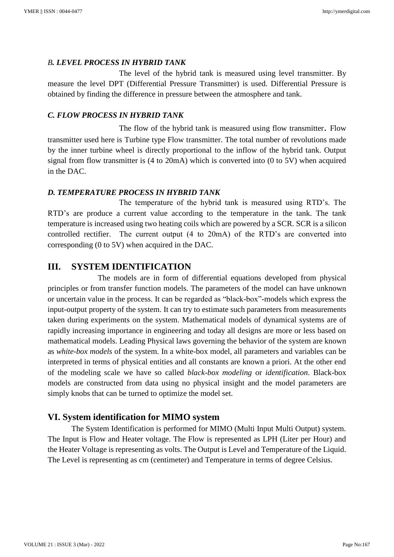#### *B. LEVEL PROCESS IN HYBRID TANK*

The level of the hybrid tank is measured using level transmitter. By measure the level DPT (Differential Pressure Transmitter) is used. Differential Pressure is obtained by finding the difference in pressure between the atmosphere and tank.

#### *C. FLOW PROCESS IN HYBRID TANK*

The flow of the hybrid tank is measured using flow transmitter. Flow transmitter used here is Turbine type Flow transmitter. The total number of revolutions made by the inner turbine wheel is directly proportional to the inflow of the hybrid tank. Output signal from flow transmitter is (4 to 20mA) which is converted into (0 to 5V) when acquired in the DAC.

#### *D. TEMPERATURE PROCESS IN HYBRID TANK*

The temperature of the hybrid tank is measured using RTD's. The RTD's are produce a current value according to the temperature in the tank. The tank temperature is increased using two heating coils which are powered by a SCR. SCR is a silicon controlled rectifier. The current output (4 to 20mA) of the RTD's are converted into corresponding (0 to 5V) when acquired in the DAC.

# **III. SYSTEM IDENTIFICATION**

 The models are in form of differential equations developed from physical principles or from transfer function models. The parameters of the model can have unknown or uncertain value in the process. It can be regarded as "black-box"-models which express the input-output property of the system. It can try to estimate such parameters from measurements taken during experiments on the system. Mathematical models of dynamical systems are of rapidly increasing importance in engineering and today all designs are more or less based on mathematical models. Leading Physical laws governing the behavior of the system are known as *white-box models* of the system. In a white-box model, all parameters and variables can be interpreted in terms of physical entities and all constants are known a priori. At the other end of the modeling scale we have so called *black-box modeling* or *identification*. Black-box models are constructed from data using no physical insight and the model parameters are simply knobs that can be turned to optimize the model set.

# **VI. System identification for MIMO system**

The System Identification is performed for MIMO (Multi Input Multi Output) system. The Input is Flow and Heater voltage. The Flow is represented as LPH (Liter per Hour) and the Heater Voltage is representing as volts. The Output is Level and Temperature of the Liquid. The Level is representing as cm (centimeter) and Temperature in terms of degree Celsius.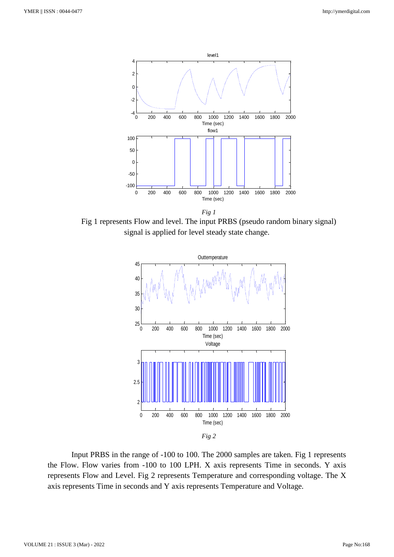

Fig 1 represents Flow and level. The input PRBS (pseudo random binary signal) signal is applied for level steady state change.



Input PRBS in the range of -100 to 100. The 2000 samples are taken. Fig 1 represents the Flow. Flow varies from -100 to 100 LPH. X axis represents Time in seconds. Y axis represents Flow and Level. Fig 2 represents Temperature and corresponding voltage. The X axis represents Time in seconds and Y axis represents Temperature and Voltage.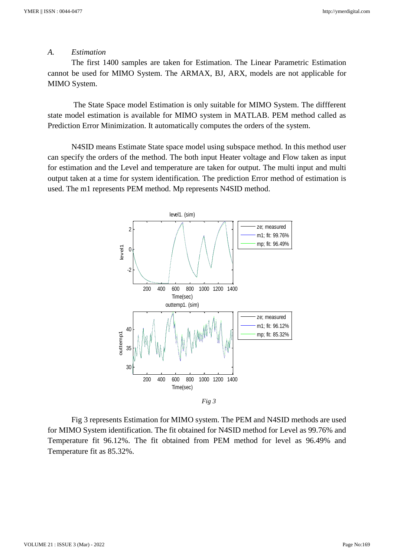#### *A. Estimation*

The first 1400 samples are taken for Estimation. The Linear Parametric Estimation cannot be used for MIMO System. The ARMAX, BJ, ARX, models are not applicable for MIMO System.

The State Space model Estimation is only suitable for MIMO System. The diffferent state model estimation is available for MIMO system in MATLAB. PEM method called as Prediction Error Minimization. It automatically computes the orders of the system.

N4SID means Estimate State space model using subspace method. In this method user can specify the orders of the method. The both input Heater voltage and Flow taken as input for estimation and the Level and temperature are taken for output. The multi input and multi output taken at a time for system identification. The prediction Error method of estimation is used. The m1 represents PEM method. Mp represents N4SID method.



Fig 3 represents Estimation for MIMO system. The PEM and N4SID methods are used for MIMO System identification. The fit obtained for N4SID method for Level as 99.76% and Temperature fit 96.12%. The fit obtained from PEM method for level as 96.49% and Temperature fit as 85.32%.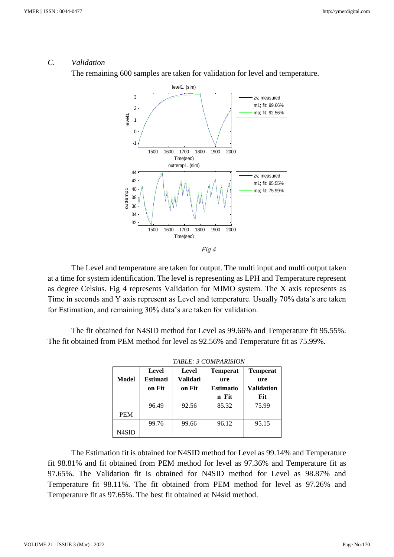# *C. Validation*

The remaining 600 samples are taken for validation for level and temperature.



The Level and temperature are taken for output. The multi input and multi output taken at a time for system identification. The level is representing as LPH and Temperature represent as degree Celsius. Fig 4 represents Validation for MIMO system. The X axis represents as Time in seconds and Y axis represent as Level and temperature. Usually 70% data's are taken for Estimation, and remaining 30% data's are taken for validation.

The fit obtained for N4SID method for Level as 99.66% and Temperature fit 95.55%. The fit obtained from PEM method for level as 92.56% and Temperature fit as 75.99%.

| TABLE: 3 COMPARISION |          |          |                  |                   |  |
|----------------------|----------|----------|------------------|-------------------|--|
|                      | Level    | Level    | <b>Temperat</b>  | <b>Temperat</b>   |  |
| Model                | Estimati | Validati | ure              | ure               |  |
|                      | on Fit   | on Fit   | <b>Estimatio</b> | <b>Validation</b> |  |
|                      |          |          | n Fit            | Fit               |  |
|                      | 96.49    | 92.56    | 85.32            | 75.99             |  |
| <b>PEM</b>           |          |          |                  |                   |  |
|                      | 99.76    | 99.66    | 96.12            | 95.15             |  |
| N4SID                |          |          |                  |                   |  |

| The Estimation fit is obtained for N4SID method for Level as 99.14% and Temperature    |  |
|----------------------------------------------------------------------------------------|--|
| fit 98.81% and fit obtained from PEM method for level as 97.36% and Temperature fit as |  |
| 97.65%. The Validation fit is obtained for N4SID method for Level as 98.87% and        |  |
| Temperature fit 98.11%. The fit obtained from PEM method for level as 97.26% and       |  |
| Temperature fit as 97.65%. The best fit obtained at N4sid method.                      |  |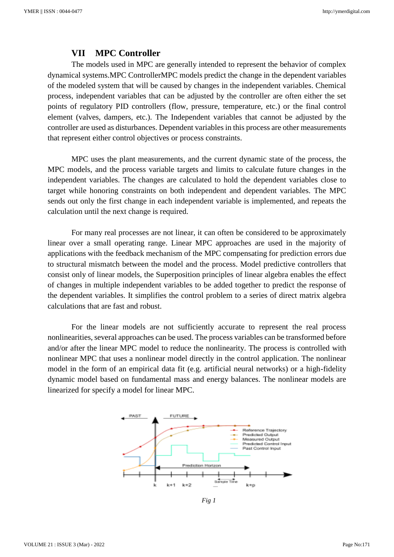#### **VII MPC Controller**

The models used in MPC are generally intended to represent the behavior of complex dynamical systems.MPC ControllerMPC models predict the change in the dependent variables of the modeled system that will be caused by changes in the independent variables. Chemical process, independent variables that can be adjusted by the controller are often either the set points of regulatory PID controllers (flow, pressure, temperature, etc.) or the final control element (valves, dampers, etc.). The Independent variables that cannot be adjusted by the controller are used as disturbances. Dependent variables in this process are other measurements that represent either control objectives or process constraints.

MPC uses the plant measurements, and the current dynamic state of the process, the MPC models, and the process variable targets and limits to calculate future changes in the independent variables. The changes are calculated to hold the dependent variables close to target while honoring constraints on both independent and dependent variables. The MPC sends out only the first change in each independent variable is implemented, and repeats the calculation until the next change is required.

For many real processes are not linear, it can often be considered to be approximately linear over a small operating range. Linear MPC approaches are used in the majority of applications with the feedback mechanism of the MPC compensating for prediction errors due to structural mismatch between the model and the process. Model predictive controllers that consist only of linear models, the Superposition principles of linear algebra enables the effect of changes in multiple independent variables to be added together to predict the response of the dependent variables. It simplifies the control problem to a series of direct matrix algebra calculations that are fast and robust.

For the linear models are not sufficiently accurate to represent the real process nonlinearities, several approaches can be used. The process variables can be transformed before and/or after the linear MPC model to reduce the nonlinearity. The process is controlled with nonlinear MPC that uses a nonlinear model directly in the control application. The nonlinear model in the form of an empirical data fit (e.g. artificial neural networks) or a high-fidelity dynamic model based on fundamental mass and energy balances. The nonlinear models are linearized for specify a model for linear MPC.



*Fig 1*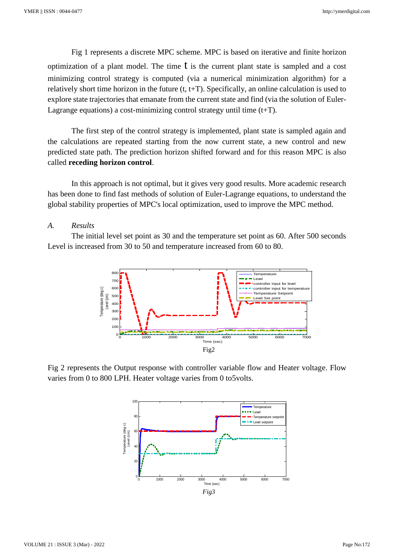Fig 1 represents a discrete MPC scheme. MPC is based on iterative and finite horizon optimization of a plant model. The time  $\dot{\mathbf{t}}$  is the current plant state is sampled and a cost minimizing control strategy is computed (via a numerical minimization algorithm) for a relatively short time horizon in the future  $(t, t+T)$ . Specifically, an online calculation is used to explore state trajectories that emanate from the current state and find (via the solution of Euler-Lagrange equations) a cost-minimizing control strategy until time  $(t+T)$ .

The first step of the control strategy is implemented, plant state is sampled again and the calculations are repeated starting from the now current state, a new control and new predicted state path. The prediction horizon shifted forward and for this reason MPC is also called **receding horizon control**.

In this approach is not optimal, but it gives very good results. More academic research has been done to find fast methods of solution of Euler-Lagrange equations, to understand the global stability properties of MPC's local optimization, used to improve the MPC method.

#### *A. Results*

The initial level set point as 30 and the temperature set point as 60. After 500 seconds Level is increased from 30 to 50 and temperature increased from 60 to 80.



Fig 2 represents the Output response with controller variable flow and Heater voltage. Flow varies from 0 to 800 LPH. Heater voltage varies from 0 to5volts.